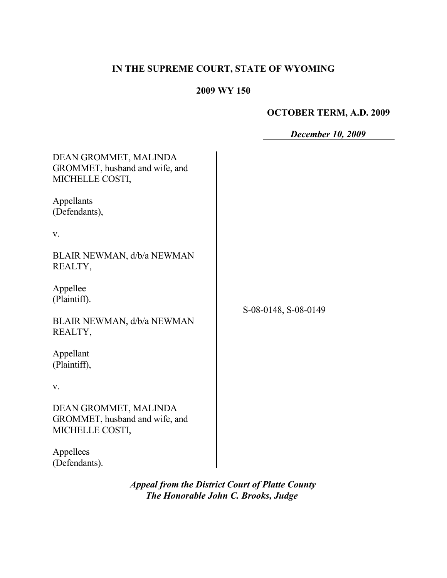## **IN THE SUPREME COURT, STATE OF WYOMING**

## **2009 WY 150**

# **OCTOBER TERM, A.D. 2009**

| <b>December 10, 2009</b> |  |  |
|--------------------------|--|--|
|--------------------------|--|--|

| DEAN GROMMET, MALINDA<br>GROMMET, husband and wife, and<br>MICHELLE COSTI, |                      |
|----------------------------------------------------------------------------|----------------------|
| Appellants<br>(Defendants),                                                |                      |
| V.                                                                         |                      |
| BLAIR NEWMAN, d/b/a NEWMAN<br>REALTY,                                      |                      |
| Appellee<br>(Plaintiff).                                                   | S-08-0148, S-08-0149 |
| BLAIR NEWMAN, d/b/a NEWMAN<br>REALTY,                                      |                      |
| Appellant<br>(Plaintiff),                                                  |                      |
| V.                                                                         |                      |
| DEAN GROMMET, MALINDA<br>GROMMET, husband and wife, and<br>MICHELLE COSTI, |                      |
| Appellees<br>(Defendants).                                                 |                      |

*Appeal from the District Court of Platte County The Honorable John C. Brooks, Judge*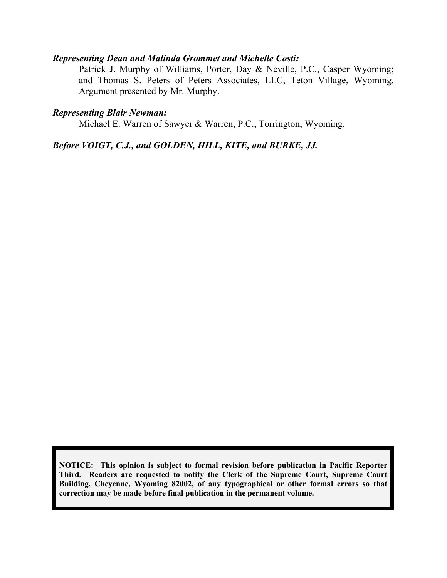#### *Representing Dean and Malinda Grommet and Michelle Costi:*

Patrick J. Murphy of Williams, Porter, Day & Neville, P.C., Casper Wyoming; and Thomas S. Peters of Peters Associates, LLC, Teton Village, Wyoming. Argument presented by Mr. Murphy.

#### *Representing Blair Newman:*

Michael E. Warren of Sawyer & Warren, P.C., Torrington, Wyoming.

## *Before VOIGT, C.J., and GOLDEN, HILL, KITE, and BURKE, JJ.*

**NOTICE: This opinion is subject to formal revision before publication in Pacific Reporter Third. Readers are requested to notify the Clerk of the Supreme Court, Supreme Court Building, Cheyenne, Wyoming 82002, of any typographical or other formal errors so that correction may be made before final publication in the permanent volume.**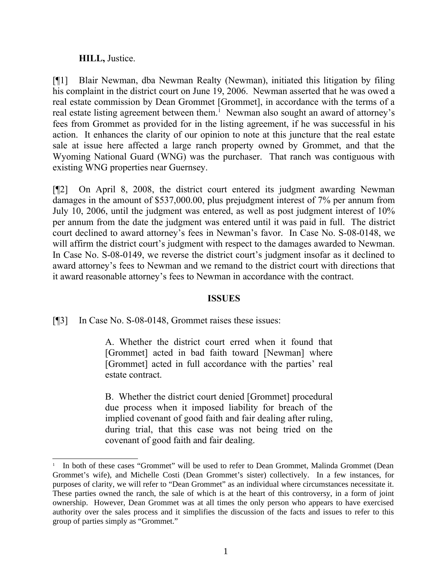#### **HILL,** Justice.

[¶1] Blair Newman, dba Newman Realty (Newman), initiated this litigation by filing his complaint in the district court on June 19, 2006. Newman asserted that he was owed a real estate commission by Dean Grommet [Grommet], in accordance with the terms of a real estate listing agreement between them.<sup>[1](#page-2-0)</sup> Newman also sought an award of attorney's fees from Grommet as provided for in the listing agreement, if he was successful in his action. It enhances the clarity of our opinion to note at this juncture that the real estate sale at issue here affected a large ranch property owned by Grommet, and that the Wyoming National Guard (WNG) was the purchaser. That ranch was contiguous with existing WNG properties near Guernsey.

[¶2] On April 8, 2008, the district court entered its judgment awarding Newman damages in the amount of \$537,000.00, plus prejudgment interest of 7% per annum from July 10, 2006, until the judgment was entered, as well as post judgment interest of 10% per annum from the date the judgment was entered until it was paid in full. The district court declined to award attorney's fees in Newman's favor. In Case No. S-08-0148, we will affirm the district court's judgment with respect to the damages awarded to Newman. In Case No. S-08-0149, we reverse the district court's judgment insofar as it declined to award attorney's fees to Newman and we remand to the district court with directions that it award reasonable attorney's fees to Newman in accordance with the contract.

#### **ISSUES**

[¶3] In Case No. S-08-0148, Grommet raises these issues:

A. Whether the district court erred when it found that [Grommet] acted in bad faith toward [Newman] where [Grommet] acted in full accordance with the parties' real estate contract.

B. Whether the district court denied [Grommet] procedural due process when it imposed liability for breach of the implied covenant of good faith and fair dealing after ruling, during trial, that this case was not being tried on the covenant of good faith and fair dealing.

<span id="page-2-0"></span><sup>1</sup> In both of these cases "Grommet" will be used to refer to Dean Grommet, Malinda Grommet (Dean Grommet's wife), and Michelle Costi (Dean Grommet's sister) collectively. In a few instances, for purposes of clarity, we will refer to "Dean Grommet" as an individual where circumstances necessitate it. These parties owned the ranch, the sale of which is at the heart of this controversy, in a form of joint ownership. However, Dean Grommet was at all times the only person who appears to have exercised authority over the sales process and it simplifies the discussion of the facts and issues to refer to this group of parties simply as "Grommet."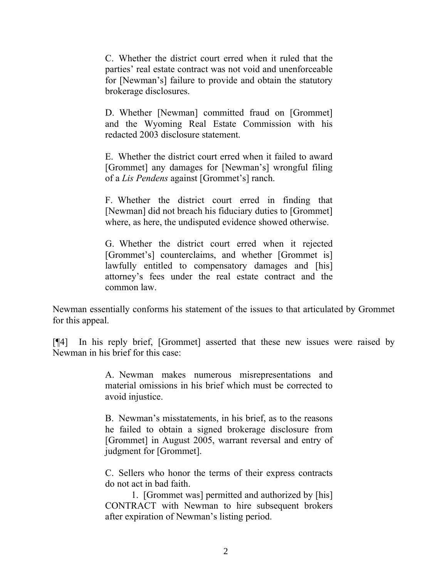C. Whether the district court erred when it ruled that the parties' real estate contract was not void and unenforceable for [Newman's] failure to provide and obtain the statutory brokerage disclosures.

D. Whether [Newman] committed fraud on [Grommet] and the Wyoming Real Estate Commission with his redacted 2003 disclosure statement.

E. Whether the district court erred when it failed to award [Grommet] any damages for [Newman's] wrongful filing of a *Lis Pendens* against [Grommet's] ranch.

F. Whether the district court erred in finding that [Newman] did not breach his fiduciary duties to [Grommet] where, as here, the undisputed evidence showed otherwise.

G. Whether the district court erred when it rejected [Grommet's] counterclaims, and whether [Grommet is] lawfully entitled to compensatory damages and [his] attorney's fees under the real estate contract and the common law.

Newman essentially conforms his statement of the issues to that articulated by Grommet for this appeal.

[¶4] In his reply brief, [Grommet] asserted that these new issues were raised by Newman in his brief for this case:

> A. Newman makes numerous misrepresentations and material omissions in his brief which must be corrected to avoid injustice.

> B. Newman's misstatements, in his brief, as to the reasons he failed to obtain a signed brokerage disclosure from [Grommet] in August 2005, warrant reversal and entry of judgment for [Grommet].

> C. Sellers who honor the terms of their express contracts do not act in bad faith.

> 1. [Grommet was] permitted and authorized by [his] CONTRACT with Newman to hire subsequent brokers after expiration of Newman's listing period.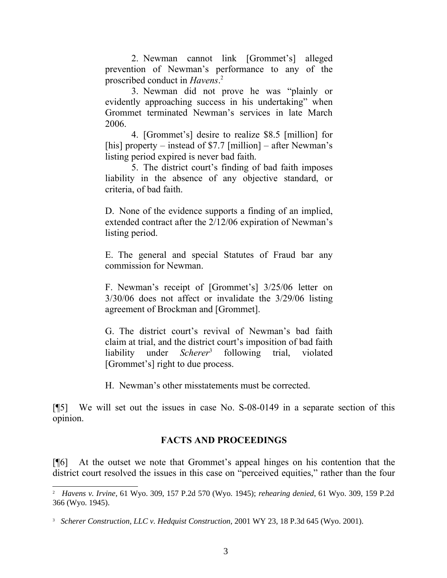2. Newman cannot link [Grommet's] alleged prevention of Newman's performance to any of the proscribed conduct in *Havens*. [2](#page-4-0)

3. Newman did not prove he was "plainly or evidently approaching success in his undertaking" when Grommet terminated Newman's services in late March 2006.

4. [Grommet's] desire to realize \$8.5 [million] for [his] property – instead of \$7.7 [million] – after Newman's listing period expired is never bad faith.

5. The district court's finding of bad faith imposes liability in the absence of any objective standard, or criteria, of bad faith.

D. None of the evidence supports a finding of an implied, extended contract after the 2/12/06 expiration of Newman's listing period.

E. The general and special Statutes of Fraud bar any commission for Newman.

F. Newman's receipt of [Grommet's] 3/25/06 letter on 3/30/06 does not affect or invalidate the 3/29/06 listing agreement of Brockman and [Grommet].

G. The district court's revival of Newman's bad faith claim at trial, and the district court's imposition of bad faith liability under *Scherer*[3](#page-4-1) following trial, violated [Grommet's] right to due process.

H. Newman's other misstatements must be corrected.

[¶5] We will set out the issues in case No. S-08-0149 in a separate section of this opinion.

## **FACTS AND PROCEEDINGS**

[¶6] At the outset we note that Grommet's appeal hinges on his contention that the district court resolved the issues in this case on "perceived equities," rather than the four

<span id="page-4-0"></span><sup>2</sup> *Havens v. Irvine*, 61 Wyo. 309, 157 P.2d 570 (Wyo. 1945); *rehearing denied*, 61 Wyo. 309, 159 P.2d 366 (Wyo. 1945).

<span id="page-4-1"></span><sup>3</sup> *Scherer Construction, LLC v. Hedquist Construction*, 2001 WY 23, 18 P.3d 645 (Wyo. 2001).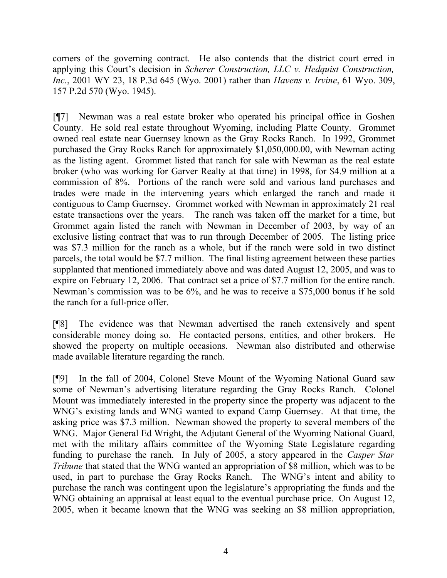corners of the governing contract. He also contends that the district court erred in applying this Court's decision in *Scherer Construction, LLC v. Hedquist Construction, Inc.*, 2001 WY 23, 18 P.3d 645 (Wyo. 2001) rather than *Havens v. Irvine*, 61 Wyo. 309, 157 P.2d 570 (Wyo. 1945).

[¶7] Newman was a real estate broker who operated his principal office in Goshen County. He sold real estate throughout Wyoming, including Platte County. Grommet owned real estate near Guernsey known as the Gray Rocks Ranch. In 1992, Grommet purchased the Gray Rocks Ranch for approximately \$1,050,000.00, with Newman acting as the listing agent. Grommet listed that ranch for sale with Newman as the real estate broker (who was working for Garver Realty at that time) in 1998, for \$4.9 million at a commission of 8%. Portions of the ranch were sold and various land purchases and trades were made in the intervening years which enlarged the ranch and made it contiguous to Camp Guernsey. Grommet worked with Newman in approximately 21 real estate transactions over the years. The ranch was taken off the market for a time, but Grommet again listed the ranch with Newman in December of 2003, by way of an exclusive listing contract that was to run through December of 2005. The listing price was \$7.3 million for the ranch as a whole, but if the ranch were sold in two distinct parcels, the total would be \$7.7 million. The final listing agreement between these parties supplanted that mentioned immediately above and was dated August 12, 2005, and was to expire on February 12, 2006. That contract set a price of \$7.7 million for the entire ranch. Newman's commission was to be 6%, and he was to receive a \$75,000 bonus if he sold the ranch for a full-price offer.

[¶8] The evidence was that Newman advertised the ranch extensively and spent considerable money doing so. He contacted persons, entities, and other brokers. He showed the property on multiple occasions. Newman also distributed and otherwise made available literature regarding the ranch.

[¶9] In the fall of 2004, Colonel Steve Mount of the Wyoming National Guard saw some of Newman's advertising literature regarding the Gray Rocks Ranch. Colonel Mount was immediately interested in the property since the property was adjacent to the WNG's existing lands and WNG wanted to expand Camp Guernsey. At that time, the asking price was \$7.3 million. Newman showed the property to several members of the WNG. Major General Ed Wright, the Adjutant General of the Wyoming National Guard, met with the military affairs committee of the Wyoming State Legislature regarding funding to purchase the ranch. In July of 2005, a story appeared in the *Casper Star Tribune* that stated that the WNG wanted an appropriation of \$8 million, which was to be used, in part to purchase the Gray Rocks Ranch. The WNG's intent and ability to purchase the ranch was contingent upon the legislature's appropriating the funds and the WNG obtaining an appraisal at least equal to the eventual purchase price. On August 12, 2005, when it became known that the WNG was seeking an \$8 million appropriation,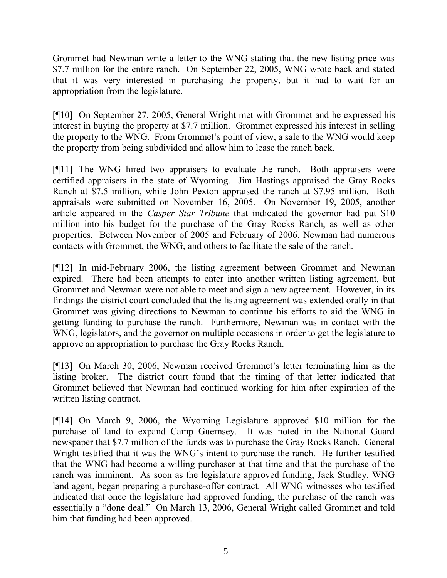Grommet had Newman write a letter to the WNG stating that the new listing price was \$7.7 million for the entire ranch. On September 22, 2005, WNG wrote back and stated that it was very interested in purchasing the property, but it had to wait for an appropriation from the legislature.

[¶10] On September 27, 2005, General Wright met with Grommet and he expressed his interest in buying the property at \$7.7 million. Grommet expressed his interest in selling the property to the WNG. From Grommet's point of view, a sale to the WNG would keep the property from being subdivided and allow him to lease the ranch back.

[¶11] The WNG hired two appraisers to evaluate the ranch. Both appraisers were certified appraisers in the state of Wyoming. Jim Hastings appraised the Gray Rocks Ranch at \$7.5 million, while John Pexton appraised the ranch at \$7.95 million. Both appraisals were submitted on November 16, 2005. On November 19, 2005, another article appeared in the *Casper Star Tribune* that indicated the governor had put \$10 million into his budget for the purchase of the Gray Rocks Ranch, as well as other properties. Between November of 2005 and February of 2006, Newman had numerous contacts with Grommet, the WNG, and others to facilitate the sale of the ranch.

[¶12] In mid-February 2006, the listing agreement between Grommet and Newman expired. There had been attempts to enter into another written listing agreement, but Grommet and Newman were not able to meet and sign a new agreement. However, in its findings the district court concluded that the listing agreement was extended orally in that Grommet was giving directions to Newman to continue his efforts to aid the WNG in getting funding to purchase the ranch. Furthermore, Newman was in contact with the WNG, legislators, and the governor on multiple occasions in order to get the legislature to approve an appropriation to purchase the Gray Rocks Ranch.

[¶13] On March 30, 2006, Newman received Grommet's letter terminating him as the listing broker. The district court found that the timing of that letter indicated that Grommet believed that Newman had continued working for him after expiration of the written listing contract.

[¶14] On March 9, 2006, the Wyoming Legislature approved \$10 million for the purchase of land to expand Camp Guernsey. It was noted in the National Guard newspaper that \$7.7 million of the funds was to purchase the Gray Rocks Ranch. General Wright testified that it was the WNG's intent to purchase the ranch. He further testified that the WNG had become a willing purchaser at that time and that the purchase of the ranch was imminent. As soon as the legislature approved funding, Jack Studley, WNG land agent, began preparing a purchase-offer contract. All WNG witnesses who testified indicated that once the legislature had approved funding, the purchase of the ranch was essentially a "done deal." On March 13, 2006, General Wright called Grommet and told him that funding had been approved.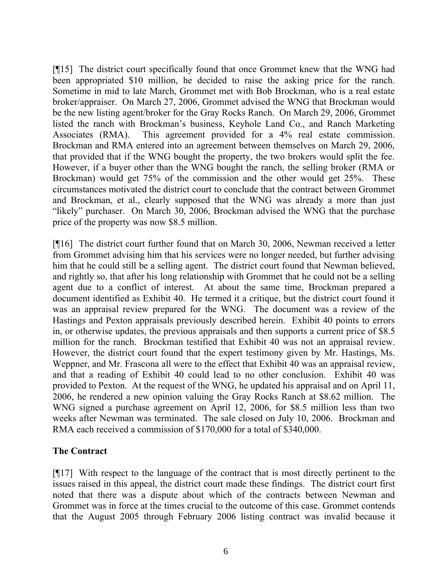[¶15] The district court specifically found that once Grommet knew that the WNG had been appropriated \$10 million, he decided to raise the asking price for the ranch. Sometime in mid to late March, Grommet met with Bob Brockman, who is a real estate broker/appraiser. On March 27, 2006, Grommet advised the WNG that Brockman would be the new listing agent/broker for the Gray Rocks Ranch. On March 29, 2006, Grommet listed the ranch with Brockman's business, Keyhole Land Co., and Ranch Marketing Associates (RMA). This agreement provided for a 4% real estate commission. Brockman and RMA entered into an agreement between themselves on March 29, 2006, that provided that if the WNG bought the property, the two brokers would split the fee. However, if a buyer other than the WNG bought the ranch, the selling broker (RMA or Brockman) would get 75% of the commission and the other would get 25%. These circumstances motivated the district court to conclude that the contract between Grommet and Brockman, et al., clearly supposed that the WNG was already a more than just "likely" purchaser. On March 30, 2006, Brockman advised the WNG that the purchase price of the property was now \$8.5 million.

[¶16] The district court further found that on March 30, 2006, Newman received a letter from Grommet advising him that his services were no longer needed, but further advising him that he could still be a selling agent. The district court found that Newman believed, and rightly so, that after his long relationship with Grommet that he could not be a selling agent due to a conflict of interest. At about the same time, Brockman prepared a document identified as Exhibit 40. He termed it a critique, but the district court found it was an appraisal review prepared for the WNG. The document was a review of the Hastings and Pexton appraisals previously described herein. Exhibit 40 points to errors in, or otherwise updates, the previous appraisals and then supports a current price of \$8.5 million for the ranch. Brockman testified that Exhibit 40 was not an appraisal review. However, the district court found that the expert testimony given by Mr. Hastings, Ms. Weppner, and Mr. Frascona all were to the effect that Exhibit 40 was an appraisal review, and that a reading of Exhibit 40 could lead to no other conclusion. Exhibit 40 was provided to Pexton. At the request of the WNG, he updated his appraisal and on April 11, 2006, he rendered a new opinion valuing the Gray Rocks Ranch at \$8.62 million. The WNG signed a purchase agreement on April 12, 2006, for \$8.5 million less than two weeks after Newman was terminated. The sale closed on July 10, 2006. Brockman and RMA each received a commission of \$170,000 for a total of \$340,000.

## **The Contract**

[¶17] With respect to the language of the contract that is most directly pertinent to the issues raised in this appeal, the district court made these findings. The district court first noted that there was a dispute about which of the contracts between Newman and Grommet was in force at the times crucial to the outcome of this case. Grommet contends that the August 2005 through February 2006 listing contract was invalid because it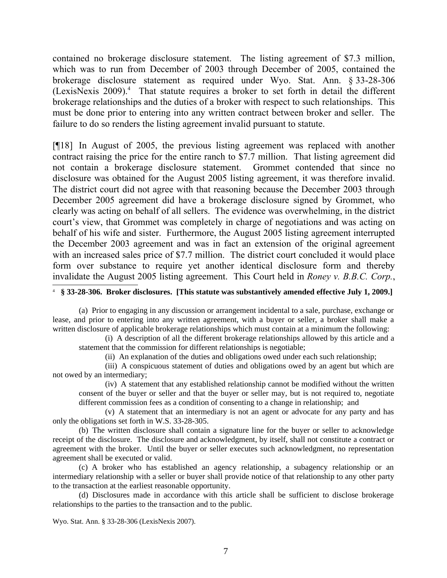contained no brokerage disclosure statement. The listing agreement of \$7.3 million, which was to run from December of 2003 through December of 2005, contained the brokerage disclosure statement as required under Wyo. Stat. Ann. § 33-28-306 (LexisNexis 2009). $4$  That statute requires a broker to set forth in detail the different brokerage relationships and the duties of a broker with respect to such relationships. This must be done prior to entering into any written contract between broker and seller. The failure to do so renders the listing agreement invalid pursuant to statute.

[¶18] In August of 2005, the previous listing agreement was replaced with another contract raising the price for the entire ranch to \$7.7 million. That listing agreement did not contain a brokerage disclosure statement. Grommet contended that since no disclosure was obtained for the August 2005 listing agreement, it was therefore invalid. The district court did not agree with that reasoning because the December 2003 through December 2005 agreement did have a brokerage disclosure signed by Grommet, who clearly was acting on behalf of all sellers. The evidence was overwhelming, in the district court's view, that Grommet was completely in charge of negotiations and was acting on behalf of his wife and sister. Furthermore, the August 2005 listing agreement interrupted the December 2003 agreement and was in fact an extension of the original agreement with an increased sales price of \$7.7 million. The district court concluded it would place form over substance to require yet another identical disclosure form and thereby invalidate the August 2005 listing agreement. This Court held in *Roney v. B.B.C. Corp.*,

<span id="page-8-0"></span>4 **§ 33-28-306. Broker disclosures. [This statute was substantively amended effective July 1, 2009.]**

(a) Prior to engaging in any discussion or arrangement incidental to a sale, purchase, exchange or lease, and prior to entering into any written agreement, with a buyer or seller, a broker shall make a written disclosure of applicable brokerage relationships which must contain at a minimum the following:

(i) A description of all the different brokerage relationships allowed by this article and a statement that the commission for different relationships is negotiable;

(ii) An explanation of the duties and obligations owed under each such relationship;

(iii) A conspicuous statement of duties and obligations owed by an agent but which are not owed by an intermediary;

(iv) A statement that any established relationship cannot be modified without the written consent of the buyer or seller and that the buyer or seller may, but is not required to, negotiate different commission fees as a condition of consenting to a change in relationship; and

(v) A statement that an intermediary is not an agent or advocate for any party and has only the obligations set forth in W.S. 33-28-305.

(b) The written disclosure shall contain a signature line for the buyer or seller to acknowledge receipt of the disclosure. The disclosure and acknowledgment, by itself, shall not constitute a contract or agreement with the broker. Until the buyer or seller executes such acknowledgment, no representation agreement shall be executed or valid.

(c) A broker who has established an agency relationship, a subagency relationship or an intermediary relationship with a seller or buyer shall provide notice of that relationship to any other party to the transaction at the earliest reasonable opportunity.

(d) Disclosures made in accordance with this article shall be sufficient to disclose brokerage relationships to the parties to the transaction and to the public.

Wyo. Stat. Ann. § 33-28-306 (LexisNexis 2007).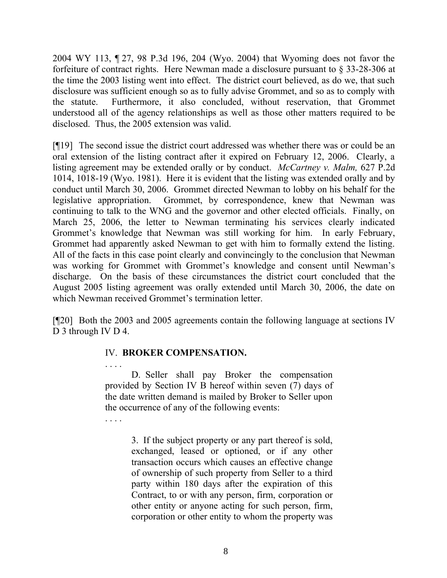2004 WY 113, ¶ 27, 98 P.3d 196, 204 (Wyo. 2004) that Wyoming does not favor the forfeiture of contract rights. Here Newman made a disclosure pursuant to § 33-28-306 at the time the 2003 listing went into effect. The district court believed, as do we, that such disclosure was sufficient enough so as to fully advise Grommet, and so as to comply with the statute. Furthermore, it also concluded, without reservation, that Grommet understood all of the agency relationships as well as those other matters required to be disclosed. Thus, the 2005 extension was valid.

[¶19] The second issue the district court addressed was whether there was or could be an oral extension of the listing contract after it expired on February 12, 2006. Clearly, a listing agreement may be extended orally or by conduct. *McCartney v. Malm,* 627 P.2d 1014, 1018-19 (Wyo. 1981). Here it is evident that the listing was extended orally and by conduct until March 30, 2006. Grommet directed Newman to lobby on his behalf for the legislative appropriation. Grommet, by correspondence, knew that Newman was continuing to talk to the WNG and the governor and other elected officials. Finally, on March 25, 2006, the letter to Newman terminating his services clearly indicated Grommet's knowledge that Newman was still working for him. In early February, Grommet had apparently asked Newman to get with him to formally extend the listing. All of the facts in this case point clearly and convincingly to the conclusion that Newman was working for Grommet with Grommet's knowledge and consent until Newman's discharge. On the basis of these circumstances the district court concluded that the August 2005 listing agreement was orally extended until March 30, 2006, the date on which Newman received Grommet's termination letter.

[¶20] Both the 2003 and 2005 agreements contain the following language at sections IV D 3 through IV D 4.

## IV. **BROKER COMPENSATION.**

. . . .

. . . . D. Seller shall pay Broker the compensation provided by Section IV B hereof within seven (7) days of the date written demand is mailed by Broker to Seller upon the occurrence of any of the following events:

> 3. If the subject property or any part thereof is sold, exchanged, leased or optioned, or if any other transaction occurs which causes an effective change of ownership of such property from Seller to a third party within 180 days after the expiration of this Contract, to or with any person, firm, corporation or other entity or anyone acting for such person, firm, corporation or other entity to whom the property was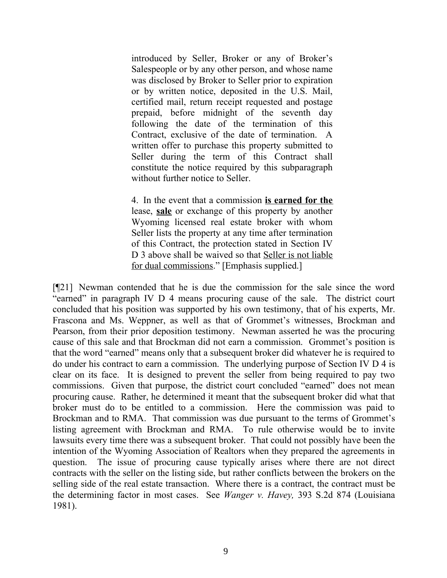introduced by Seller, Broker or any of Broker's Salespeople or by any other person, and whose name was disclosed by Broker to Seller prior to expiration or by written notice, deposited in the U.S. Mail, certified mail, return receipt requested and postage prepaid, before midnight of the seventh day following the date of the termination of this Contract, exclusive of the date of termination. A written offer to purchase this property submitted to Seller during the term of this Contract shall constitute the notice required by this subparagraph without further notice to Seller.

4. In the event that a commission **is earned for the** lease, **sale** or exchange of this property by another Wyoming licensed real estate broker with whom Seller lists the property at any time after termination of this Contract, the protection stated in Section IV D 3 above shall be waived so that Seller is not liable for dual commissions." [Emphasis supplied.]

[¶21] Newman contended that he is due the commission for the sale since the word "earned" in paragraph IV D 4 means procuring cause of the sale. The district court concluded that his position was supported by his own testimony, that of his experts, Mr. Frascona and Ms. Weppner, as well as that of Grommet's witnesses, Brockman and Pearson, from their prior deposition testimony. Newman asserted he was the procuring cause of this sale and that Brockman did not earn a commission. Grommet's position is that the word "earned" means only that a subsequent broker did whatever he is required to do under his contract to earn a commission. The underlying purpose of Section IV D 4 is clear on its face. It is designed to prevent the seller from being required to pay two commissions. Given that purpose, the district court concluded "earned" does not mean procuring cause. Rather, he determined it meant that the subsequent broker did what that broker must do to be entitled to a commission. Here the commission was paid to Brockman and to RMA. That commission was due pursuant to the terms of Grommet's listing agreement with Brockman and RMA. To rule otherwise would be to invite lawsuits every time there was a subsequent broker. That could not possibly have been the intention of the Wyoming Association of Realtors when they prepared the agreements in question. The issue of procuring cause typically arises where there are not direct contracts with the seller on the listing side, but rather conflicts between the brokers on the selling side of the real estate transaction. Where there is a contract, the contract must be the determining factor in most cases. See *Wanger v. Havey,* 393 S.2d 874 (Louisiana 1981).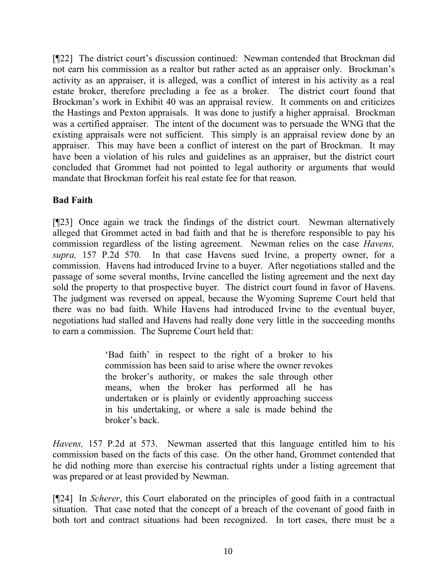[¶22] The district court's discussion continued: Newman contended that Brockman did not earn his commission as a realtor but rather acted as an appraiser only. Brockman's activity as an appraiser, it is alleged, was a conflict of interest in his activity as a real estate broker, therefore precluding a fee as a broker. The district court found that Brockman's work in Exhibit 40 was an appraisal review. It comments on and criticizes the Hastings and Pexton appraisals. It was done to justify a higher appraisal. Brockman was a certified appraiser. The intent of the document was to persuade the WNG that the existing appraisals were not sufficient. This simply is an appraisal review done by an appraiser. This may have been a conflict of interest on the part of Brockman. It may have been a violation of his rules and guidelines as an appraiser, but the district court concluded that Grommet had not pointed to legal authority or arguments that would mandate that Brockman forfeit his real estate fee for that reason.

# **Bad Faith**

[¶23] Once again we track the findings of the district court. Newman alternatively alleged that Grommet acted in bad faith and that he is therefore responsible to pay his commission regardless of the listing agreement. Newman relies on the case *Havens, supra,* 157 P.2d 570. In that case Havens sued Irvine, a property owner, for a commission. Havens had introduced Irvine to a buyer. After negotiations stalled and the passage of some several months, Irvine cancelled the listing agreement and the next day sold the property to that prospective buyer. The district court found in favor of Havens. The judgment was reversed on appeal, because the Wyoming Supreme Court held that there was no bad faith. While Havens had introduced Irvine to the eventual buyer, negotiations had stalled and Havens had really done very little in the succeeding months to earn a commission. The Supreme Court held that:

> 'Bad faith' in respect to the right of a broker to his commission has been said to arise where the owner revokes the broker's authority, or makes the sale through other means, when the broker has performed all he has undertaken or is plainly or evidently approaching success in his undertaking, or where a sale is made behind the broker's back.

*Havens,* 157 P.2d at 573. Newman asserted that this language entitled him to his commission based on the facts of this case. On the other hand, Grommet contended that he did nothing more than exercise his contractual rights under a listing agreement that was prepared or at least provided by Newman.

[¶24] In *Scherer*, this Court elaborated on the principles of good faith in a contractual situation. That case noted that the concept of a breach of the covenant of good faith in both tort and contract situations had been recognized. In tort cases, there must be a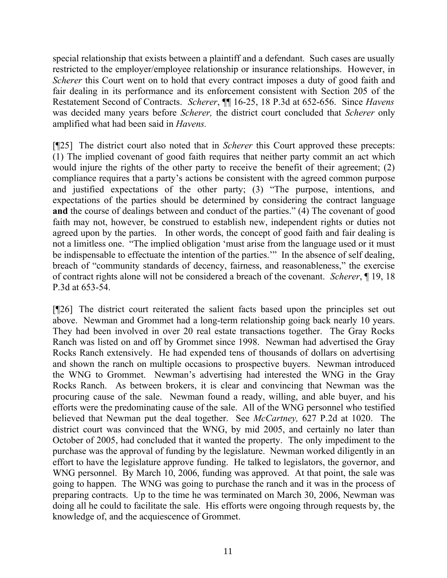special relationship that exists between a plaintiff and a defendant. Such cases are usually restricted to the employer/employee relationship or insurance relationships. However, in *Scherer* this Court went on to hold that every contract imposes a duty of good faith and fair dealing in its performance and its enforcement consistent with Section 205 of the Restatement Second of Contracts. *Scherer*, ¶¶ 16-25, 18 P.3d at 652-656. Since *Havens* was decided many years before *Scherer,* the district court concluded that *Scherer* only amplified what had been said in *Havens.*

[¶25] The district court also noted that in *Scherer* this Court approved these precepts: (1) The implied covenant of good faith requires that neither party commit an act which would injure the rights of the other party to receive the benefit of their agreement; (2) compliance requires that a party's actions be consistent with the agreed common purpose and justified expectations of the other party; (3) "The purpose, intentions, and expectations of the parties should be determined by considering the contract language **and** the course of dealings between and conduct of the parties." (4) The covenant of good faith may not, however, be construed to establish new, independent rights or duties not agreed upon by the parties. In other words, the concept of good faith and fair dealing is not a limitless one. "The implied obligation 'must arise from the language used or it must be indispensable to effectuate the intention of the parties.'" In the absence of self dealing, breach of "community standards of decency, fairness, and reasonableness," the exercise of contract rights alone will not be considered a breach of the covenant. *Scherer*, ¶ 19, 18 P.3d at 653-54.

[¶26] The district court reiterated the salient facts based upon the principles set out above. Newman and Grommet had a long-term relationship going back nearly 10 years. They had been involved in over 20 real estate transactions together. The Gray Rocks Ranch was listed on and off by Grommet since 1998. Newman had advertised the Gray Rocks Ranch extensively. He had expended tens of thousands of dollars on advertising and shown the ranch on multiple occasions to prospective buyers. Newman introduced the WNG to Grommet. Newman's advertising had interested the WNG in the Gray Rocks Ranch. As between brokers, it is clear and convincing that Newman was the procuring cause of the sale. Newman found a ready, willing, and able buyer, and his efforts were the predominating cause of the sale. All of the WNG personnel who testified believed that Newman put the deal together. See *McCartney,* 627 P.2d at 1020. The district court was convinced that the WNG, by mid 2005, and certainly no later than October of 2005, had concluded that it wanted the property. The only impediment to the purchase was the approval of funding by the legislature. Newman worked diligently in an effort to have the legislature approve funding. He talked to legislators, the governor, and WNG personnel. By March 10, 2006, funding was approved. At that point, the sale was going to happen. The WNG was going to purchase the ranch and it was in the process of preparing contracts. Up to the time he was terminated on March 30, 2006, Newman was doing all he could to facilitate the sale. His efforts were ongoing through requests by, the knowledge of, and the acquiescence of Grommet.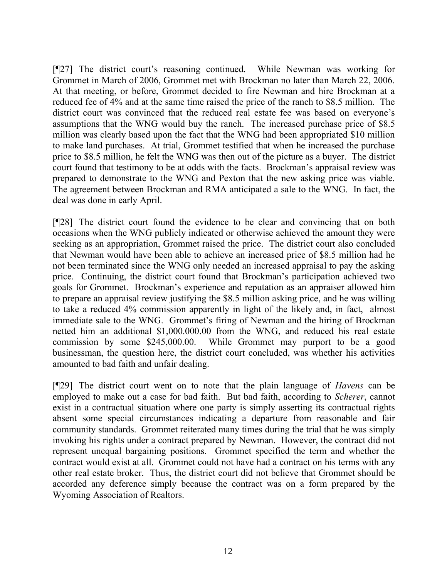[¶27] The district court's reasoning continued. While Newman was working for Grommet in March of 2006, Grommet met with Brockman no later than March 22, 2006. At that meeting, or before, Grommet decided to fire Newman and hire Brockman at a reduced fee of 4% and at the same time raised the price of the ranch to \$8.5 million. The district court was convinced that the reduced real estate fee was based on everyone's assumptions that the WNG would buy the ranch. The increased purchase price of \$8.5 million was clearly based upon the fact that the WNG had been appropriated \$10 million to make land purchases. At trial, Grommet testified that when he increased the purchase price to \$8.5 million, he felt the WNG was then out of the picture as a buyer. The district court found that testimony to be at odds with the facts. Brockman's appraisal review was prepared to demonstrate to the WNG and Pexton that the new asking price was viable. The agreement between Brockman and RMA anticipated a sale to the WNG. In fact, the deal was done in early April.

[¶28] The district court found the evidence to be clear and convincing that on both occasions when the WNG publicly indicated or otherwise achieved the amount they were seeking as an appropriation, Grommet raised the price. The district court also concluded that Newman would have been able to achieve an increased price of \$8.5 million had he not been terminated since the WNG only needed an increased appraisal to pay the asking price. Continuing, the district court found that Brockman's participation achieved two goals for Grommet. Brockman's experience and reputation as an appraiser allowed him to prepare an appraisal review justifying the \$8.5 million asking price, and he was willing to take a reduced 4% commission apparently in light of the likely and, in fact, almost immediate sale to the WNG. Grommet's firing of Newman and the hiring of Brockman netted him an additional \$1,000.000.00 from the WNG, and reduced his real estate commission by some \$245,000.00. While Grommet may purport to be a good businessman, the question here, the district court concluded, was whether his activities amounted to bad faith and unfair dealing.

[¶29] The district court went on to note that the plain language of *Havens* can be employed to make out a case for bad faith. But bad faith, according to *Scherer*, cannot exist in a contractual situation where one party is simply asserting its contractual rights absent some special circumstances indicating a departure from reasonable and fair community standards. Grommet reiterated many times during the trial that he was simply invoking his rights under a contract prepared by Newman. However, the contract did not represent unequal bargaining positions. Grommet specified the term and whether the contract would exist at all. Grommet could not have had a contract on his terms with any other real estate broker. Thus, the district court did not believe that Grommet should be accorded any deference simply because the contract was on a form prepared by the Wyoming Association of Realtors.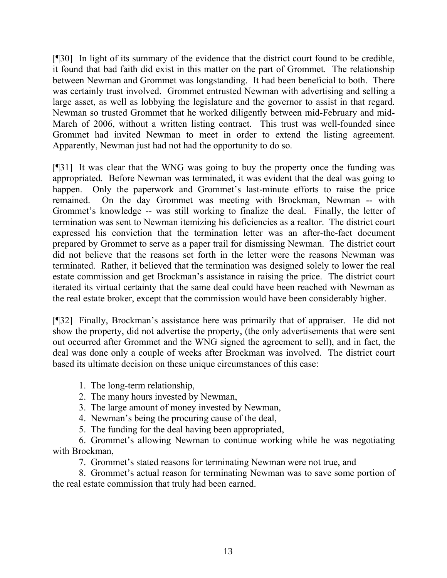[¶30] In light of its summary of the evidence that the district court found to be credible, it found that bad faith did exist in this matter on the part of Grommet. The relationship between Newman and Grommet was longstanding. It had been beneficial to both. There was certainly trust involved. Grommet entrusted Newman with advertising and selling a large asset, as well as lobbying the legislature and the governor to assist in that regard. Newman so trusted Grommet that he worked diligently between mid-February and mid-March of 2006, without a written listing contract. This trust was well-founded since Grommet had invited Newman to meet in order to extend the listing agreement. Apparently, Newman just had not had the opportunity to do so.

[¶31] It was clear that the WNG was going to buy the property once the funding was appropriated. Before Newman was terminated, it was evident that the deal was going to happen. Only the paperwork and Grommet's last-minute efforts to raise the price remained. On the day Grommet was meeting with Brockman, Newman -- with Grommet's knowledge -- was still working to finalize the deal. Finally, the letter of termination was sent to Newman itemizing his deficiencies as a realtor. The district court expressed his conviction that the termination letter was an after-the-fact document prepared by Grommet to serve as a paper trail for dismissing Newman. The district court did not believe that the reasons set forth in the letter were the reasons Newman was terminated. Rather, it believed that the termination was designed solely to lower the real estate commission and get Brockman's assistance in raising the price. The district court iterated its virtual certainty that the same deal could have been reached with Newman as the real estate broker, except that the commission would have been considerably higher.

[¶32] Finally, Brockman's assistance here was primarily that of appraiser. He did not show the property, did not advertise the property, (the only advertisements that were sent out occurred after Grommet and the WNG signed the agreement to sell), and in fact, the deal was done only a couple of weeks after Brockman was involved. The district court based its ultimate decision on these unique circumstances of this case:

1. The long-term relationship,

- 2. The many hours invested by Newman,
- 3. The large amount of money invested by Newman,
- 4. Newman's being the procuring cause of the deal,
- 5. The funding for the deal having been appropriated,

6. Grommet's allowing Newman to continue working while he was negotiating with Brockman,

7. Grommet's stated reasons for terminating Newman were not true, and

8. Grommet's actual reason for terminating Newman was to save some portion of the real estate commission that truly had been earned.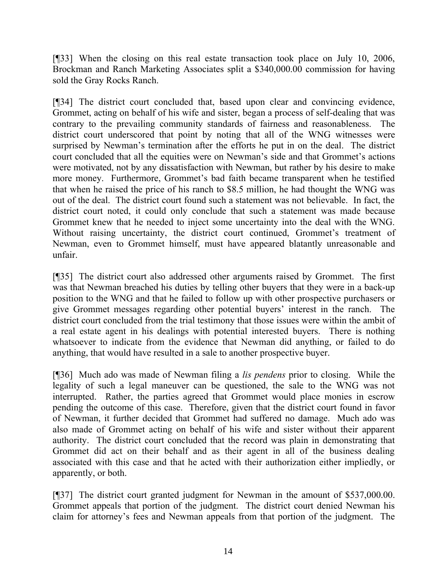[¶33] When the closing on this real estate transaction took place on July 10, 2006, Brockman and Ranch Marketing Associates split a \$340,000.00 commission for having sold the Gray Rocks Ranch.

[¶34] The district court concluded that, based upon clear and convincing evidence, Grommet, acting on behalf of his wife and sister, began a process of self-dealing that was contrary to the prevailing community standards of fairness and reasonableness. The district court underscored that point by noting that all of the WNG witnesses were surprised by Newman's termination after the efforts he put in on the deal. The district court concluded that all the equities were on Newman's side and that Grommet's actions were motivated, not by any dissatisfaction with Newman, but rather by his desire to make more money. Furthermore, Grommet's bad faith became transparent when he testified that when he raised the price of his ranch to \$8.5 million, he had thought the WNG was out of the deal. The district court found such a statement was not believable. In fact, the district court noted, it could only conclude that such a statement was made because Grommet knew that he needed to inject some uncertainty into the deal with the WNG. Without raising uncertainty, the district court continued, Grommet's treatment of Newman, even to Grommet himself, must have appeared blatantly unreasonable and unfair.

[¶35] The district court also addressed other arguments raised by Grommet. The first was that Newman breached his duties by telling other buyers that they were in a back-up position to the WNG and that he failed to follow up with other prospective purchasers or give Grommet messages regarding other potential buyers' interest in the ranch. The district court concluded from the trial testimony that those issues were within the ambit of a real estate agent in his dealings with potential interested buyers. There is nothing whatsoever to indicate from the evidence that Newman did anything, or failed to do anything, that would have resulted in a sale to another prospective buyer.

[¶36] Much ado was made of Newman filing a *lis pendens* prior to closing. While the legality of such a legal maneuver can be questioned, the sale to the WNG was not interrupted. Rather, the parties agreed that Grommet would place monies in escrow pending the outcome of this case. Therefore, given that the district court found in favor of Newman, it further decided that Grommet had suffered no damage. Much ado was also made of Grommet acting on behalf of his wife and sister without their apparent authority. The district court concluded that the record was plain in demonstrating that Grommet did act on their behalf and as their agent in all of the business dealing associated with this case and that he acted with their authorization either impliedly, or apparently, or both.

[¶37] The district court granted judgment for Newman in the amount of \$537,000.00. Grommet appeals that portion of the judgment. The district court denied Newman his claim for attorney's fees and Newman appeals from that portion of the judgment. The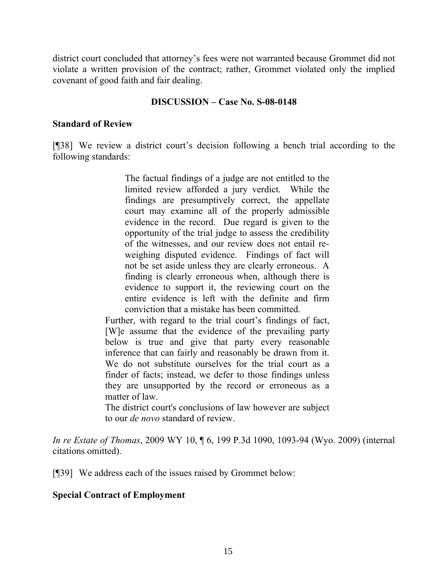district court concluded that attorney's fees were not warranted because Grommet did not violate a written provision of the contract; rather, Grommet violated only the implied covenant of good faith and fair dealing.

#### **DISCUSSION – Case No. S-08-0148**

#### **Standard of Review**

[¶38] We review a district court's decision following a bench trial according to the following standards:

> The factual findings of a judge are not entitled to the limited review afforded a jury verdict. While the findings are presumptively correct, the appellate court may examine all of the properly admissible evidence in the record. Due regard is given to the opportunity of the trial judge to assess the credibility of the witnesses, and our review does not entail reweighing disputed evidence. Findings of fact will not be set aside unless they are clearly erroneous. A finding is clearly erroneous when, although there is evidence to support it, the reviewing court on the entire evidence is left with the definite and firm conviction that a mistake has been committed.

Further, with regard to the trial court's findings of fact, [W]e assume that the evidence of the prevailing party below is true and give that party every reasonable inference that can fairly and reasonably be drawn from it. We do not substitute ourselves for the trial court as a finder of facts; instead, we defer to those findings unless they are unsupported by the record or erroneous as a matter of law.

The district court's conclusions of law however are subject to our *de novo* standard of review.

*In re Estate of Thomas*, 2009 WY 10, ¶ 6, 199 P.3d 1090, 1093-94 (Wyo. 2009) (internal citations omitted).

[¶39] We address each of the issues raised by Grommet below:

## **Special Contract of Employment**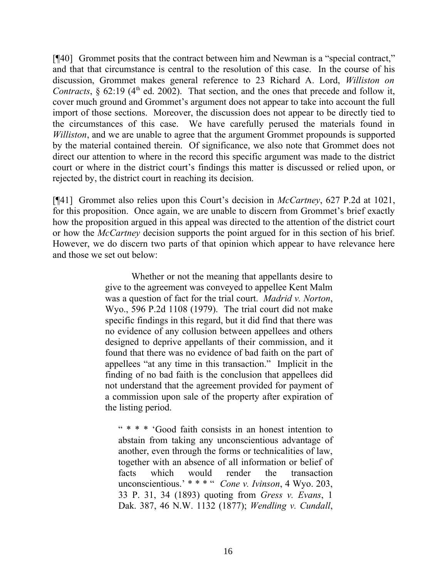[¶40] Grommet posits that the contract between him and Newman is a "special contract," and that that circumstance is central to the resolution of this case. In the course of his discussion, Grommet makes general reference to 23 Richard A. Lord, *Williston on Contracts*,  $\S$  62:19 (4<sup>th</sup> ed. 2002). That section, and the ones that precede and follow it, cover much ground and Grommet's argument does not appear to take into account the full import of those sections. Moreover, the discussion does not appear to be directly tied to the circumstances of this case. We have carefully perused the materials found in *Williston*, and we are unable to agree that the argument Grommet propounds is supported by the material contained therein. Of significance, we also note that Grommet does not direct our attention to where in the record this specific argument was made to the district court or where in the district court's findings this matter is discussed or relied upon, or rejected by, the district court in reaching its decision.

[¶41] Grommet also relies upon this Court's decision in *McCartney*, 627 P.2d at 1021, for this proposition. Once again, we are unable to discern from Grommet's brief exactly how the proposition argued in this appeal was directed to the attention of the district court or how the *McCartney* decision supports the point argued for in this section of his brief. However, we do discern two parts of that opinion which appear to have relevance here and those we set out below:

> Whether or not the meaning that appellants desire to give to the agreement was conveyed to appellee Kent Malm was a question of fact for the trial court. *Madrid v. Norton*, Wyo., 596 P.2d 1108 (1979). The trial court did not make specific findings in this regard, but it did find that there was no evidence of any collusion between appellees and others designed to deprive appellants of their commission, and it found that there was no evidence of bad faith on the part of appellees "at any time in this transaction." Implicit in the finding of no bad faith is the conclusion that appellees did not understand that the agreement provided for payment of a commission upon sale of the property after expiration of the listing period.

" \* \* \* 'Good faith consists in an honest intention to abstain from taking any unconscientious advantage of another, even through the forms or technicalities of law, together with an absence of all information or belief of facts which would render the transaction unconscientious.' \* \* \* " *Cone v. Ivinson*, 4 Wyo. 203, 33 P. 31, 34 (1893) quoting from *Gress v. Evans*, 1 Dak. 387, 46 N.W. 1132 (1877); *Wendling v. Cundall*,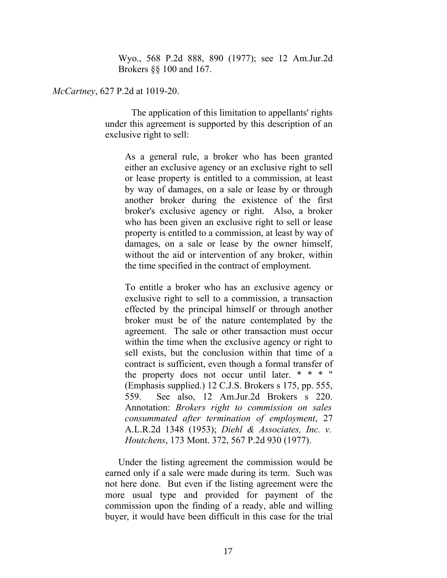Wyo., 568 P.2d 888, 890 (1977); see 12 Am.Jur.2d Brokers §§ 100 and 167.

*McCartney*, 627 P.2d at 1019-20.

The application of this limitation to appellants' rights under this agreement is supported by this description of an exclusive right to sell:

As a general rule, a broker who has been granted either an exclusive agency or an exclusive right to sell or lease property is entitled to a commission, at least by way of damages, on a sale or lease by or through another broker during the existence of the first broker's exclusive agency or right. Also, a broker who has been given an exclusive right to sell or lease property is entitled to a commission, at least by way of damages, on a sale or lease by the owner himself, without the aid or intervention of any broker, within the time specified in the contract of employment.

To entitle a broker who has an exclusive agency or exclusive right to sell to a commission, a transaction effected by the principal himself or through another broker must be of the nature contemplated by the agreement. The sale or other transaction must occur within the time when the exclusive agency or right to sell exists, but the conclusion within that time of a contract is sufficient, even though a formal transfer of the property does not occur until later. \* \* \* " (Emphasis supplied.) 12 C.J.S. Brokers s 175, pp. 555, 559. See also, 12 Am.Jur.2d Brokers s 220. Annotation: *Brokers right to commission on sales consummated after termination of employment*, 27 A.L.R.2d 1348 (1953); *Diehl & Associates, Inc. v. Houtchens*, 173 Mont. 372, 567 P.2d 930 (1977).

Under the listing agreement the commission would be earned only if a sale were made during its term. Such was not here done. But even if the listing agreement were the more usual type and provided for payment of the commission upon the finding of a ready, able and willing buyer, it would have been difficult in this case for the trial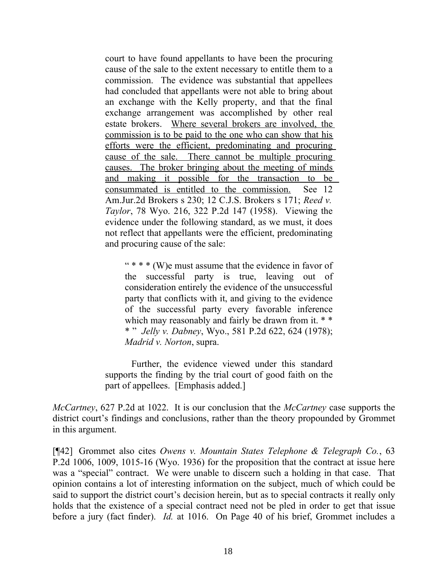court to have found appellants to have been the procuring cause of the sale to the extent necessary to entitle them to a commission. The evidence was substantial that appellees had concluded that appellants were not able to bring about an exchange with the Kelly property, and that the final exchange arrangement was accomplished by other real estate brokers. Where several brokers are involved, the commission is to be paid to the one who can show that his efforts were the efficient, predominating and procuring cause of the sale. There cannot be multiple procuring causes. The broker bringing about the meeting of minds and making it possible for the transaction to be consummated is entitled to the commission. See 12 Am.Jur.2d Brokers s 230; 12 C.J.S. Brokers s 171; *Reed v. Taylor*, 78 Wyo. 216, 322 P.2d 147 (1958). Viewing the evidence under the following standard, as we must, it does not reflect that appellants were the efficient, predominating and procuring cause of the sale:

" \* \* \* (W)e must assume that the evidence in favor of the successful party is true, leaving out of consideration entirely the evidence of the unsuccessful party that conflicts with it, and giving to the evidence of the successful party every favorable inference which may reasonably and fairly be drawn from it. \* \* \* " *Jelly v. Dabney*, Wyo., 581 P.2d 622, 624 (1978); *Madrid v. Norton*, supra.

Further, the evidence viewed under this standard supports the finding by the trial court of good faith on the part of appellees. [Emphasis added.]

*McCartney*, 627 P.2d at 1022. It is our conclusion that the *McCartney* case supports the district court's findings and conclusions, rather than the theory propounded by Grommet in this argument.

[¶42] Grommet also cites *Owens v. Mountain States Telephone & Telegraph Co.*, 63 P.2d 1006, 1009, 1015-16 (Wyo. 1936) for the proposition that the contract at issue here was a "special" contract. We were unable to discern such a holding in that case. That opinion contains a lot of interesting information on the subject, much of which could be said to support the district court's decision herein, but as to special contracts it really only holds that the existence of a special contract need not be pled in order to get that issue before a jury (fact finder). *Id.* at 1016. On Page 40 of his brief, Grommet includes a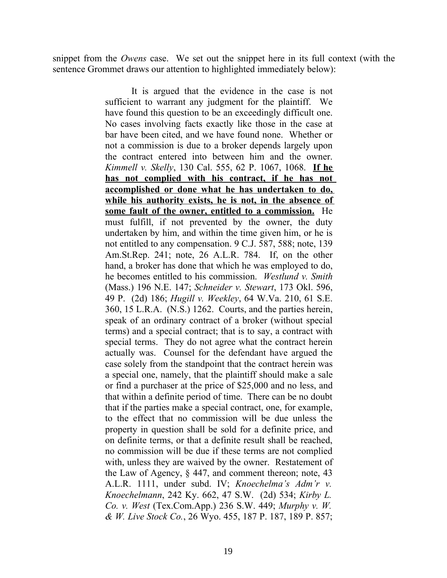snippet from the *Owens* case. We set out the snippet here in its full context (with the sentence Grommet draws our attention to highlighted immediately below):

> It is argued that the evidence in the case is not sufficient to warrant any judgment for the plaintiff. We have found this question to be an exceedingly difficult one. No cases involving facts exactly like those in the case at bar have been cited, and we have found none. Whether or not a commission is due to a broker depends largely upon the contract entered into between him and the owner. *Kimmell v. Skelly*, 130 Cal. 555, 62 P. 1067, 1068. **If he has not complied with his contract, if he has not accomplished or done what he has undertaken to do, while his authority exists, he is not, in the absence of some fault of the owner, entitled to a commission.** He must fulfill, if not prevented by the owner, the duty undertaken by him, and within the time given him, or he is not entitled to any compensation. 9 C.J. 587, 588; note, 139 Am.St.Rep. 241; note, 26 A.L.R. 784. If, on the other hand, a broker has done that which he was employed to do, he becomes entitled to his commission. *Westlund v. Smith* (Mass.) 196 N.E. 147; *Schneider v. Stewart*, 173 Okl. 596, 49 P. (2d) 186; *Hugill v. Weekley*, 64 W.Va. 210, 61 S.E. 360, 15 L.R.A. (N.S.) 1262. Courts, and the parties herein, speak of an ordinary contract of a broker (without special terms) and a special contract; that is to say, a contract with special terms. They do not agree what the contract herein actually was. Counsel for the defendant have argued the case solely from the standpoint that the contract herein was a special one, namely, that the plaintiff should make a sale or find a purchaser at the price of \$25,000 and no less, and that within a definite period of time. There can be no doubt that if the parties make a special contract, one, for example, to the effect that no commission will be due unless the property in question shall be sold for a definite price, and on definite terms, or that a definite result shall be reached, no commission will be due if these terms are not complied with, unless they are waived by the owner. Restatement of the Law of Agency, § 447, and comment thereon; note, 43 A.L.R. 1111, under subd. IV; *Knoechelma's Adm'r v. Knoechelmann*, 242 Ky. 662, 47 S.W. (2d) 534; *Kirby L. Co. v. West* (Tex.Com.App.) 236 S.W. 449; *Murphy v. W. & W. Live Stock Co.*, 26 Wyo. 455, 187 P. 187, 189 P. 857;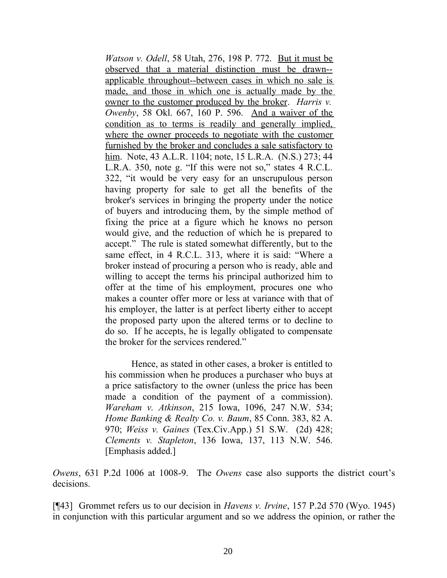*Watson v. Odell*, 58 Utah, 276, 198 P. 772. But it must be observed that a material distinction must be drawn- applicable throughout--between cases in which no sale is made, and those in which one is actually made by the owner to the customer produced by the broker. *Harris v. Owenby*, 58 Okl. 667, 160 P. 596. And a waiver of the condition as to terms is readily and generally implied, where the owner proceeds to negotiate with the customer furnished by the broker and concludes a sale satisfactory to him. Note, 43 A.L.R. 1104; note, 15 L.R.A. (N.S.) 273; 44 L.R.A. 350, note g. "If this were not so," states 4 R.C.L. 322, "it would be very easy for an unscrupulous person having property for sale to get all the benefits of the broker's services in bringing the property under the notice of buyers and introducing them, by the simple method of fixing the price at a figure which he knows no person would give, and the reduction of which he is prepared to accept." The rule is stated somewhat differently, but to the same effect, in 4 R.C.L. 313, where it is said: "Where a broker instead of procuring a person who is ready, able and willing to accept the terms his principal authorized him to offer at the time of his employment, procures one who makes a counter offer more or less at variance with that of his employer, the latter is at perfect liberty either to accept the proposed party upon the altered terms or to decline to do so. If he accepts, he is legally obligated to compensate the broker for the services rendered."

Hence, as stated in other cases, a broker is entitled to his commission when he produces a purchaser who buys at a price satisfactory to the owner (unless the price has been made a condition of the payment of a commission). *Wareham v. Atkinson*, 215 Iowa, 1096, 247 N.W. 534; *Home Banking & Realty Co. v. Baum*, 85 Conn. 383, 82 A. 970; *Weiss v. Gaines* (Tex.Civ.App.) 51 S.W. (2d) 428; *Clements v. Stapleton*, 136 Iowa, 137, 113 N.W. 546. [Emphasis added.]

*Owens*, 631 P.2d 1006 at 1008-9. The *Owens* case also supports the district court's decisions.

[¶43] Grommet refers us to our decision in *Havens v. Irvine*, 157 P.2d 570 (Wyo. 1945) in conjunction with this particular argument and so we address the opinion, or rather the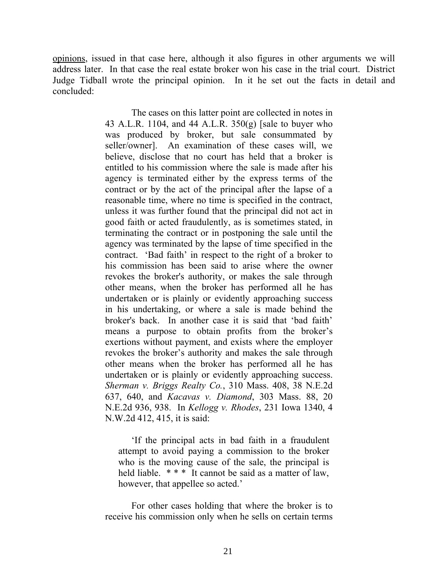opinions, issued in that case here, although it also figures in other arguments we will address later. In that case the real estate broker won his case in the trial court. District Judge Tidball wrote the principal opinion. In it he set out the facts in detail and concluded:

> The cases on this latter point are collected in notes in 43 A.L.R. 1104, and 44 A.L.R. 350(g) [sale to buyer who was produced by broker, but sale consummated by seller/owner]. An examination of these cases will, we believe, disclose that no court has held that a broker is entitled to his commission where the sale is made after his agency is terminated either by the express terms of the contract or by the act of the principal after the lapse of a reasonable time, where no time is specified in the contract, unless it was further found that the principal did not act in good faith or acted fraudulently, as is sometimes stated, in terminating the contract or in postponing the sale until the agency was terminated by the lapse of time specified in the contract. 'Bad faith' in respect to the right of a broker to his commission has been said to arise where the owner revokes the broker's authority, or makes the sale through other means, when the broker has performed all he has undertaken or is plainly or evidently approaching success in his undertaking, or where a sale is made behind the broker's back. In another case it is said that 'bad faith' means a purpose to obtain profits from the broker's exertions without payment, and exists where the employer revokes the broker's authority and makes the sale through other means when the broker has performed all he has undertaken or is plainly or evidently approaching success. *Sherman v. Briggs Realty Co.*, 310 Mass. 408, 38 N.E.2d 637, 640, and *Kacavas v. Diamond*, 303 Mass. 88, 20 N.E.2d 936, 938. In *Kellogg v. Rhodes*, 231 Iowa 1340, 4 N.W.2d 412, 415, it is said:

'If the principal acts in bad faith in a fraudulent attempt to avoid paying a commission to the broker who is the moving cause of the sale, the principal is held liable. \* \* \* It cannot be said as a matter of law, however, that appellee so acted.'

For other cases holding that where the broker is to receive his commission only when he sells on certain terms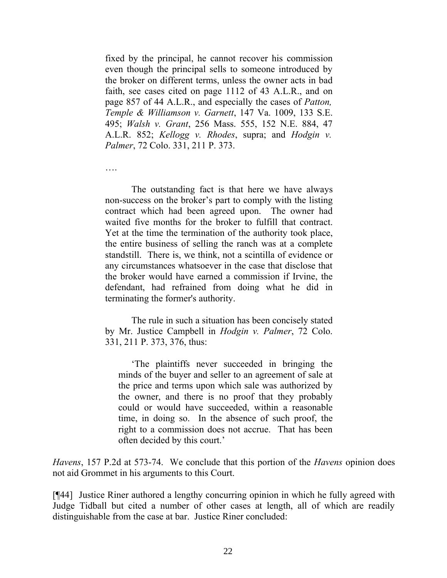fixed by the principal, he cannot recover his commission even though the principal sells to someone introduced by the broker on different terms, unless the owner acts in bad faith, see cases cited on page 1112 of 43 A.L.R., and on page 857 of 44 A.L.R., and especially the cases of *Patton, Temple & Williamson v. Garnett*, 147 Va. 1009, 133 S.E. 495; *Walsh v. Grant*, 256 Mass. 555, 152 N.E. 884, 47 A.L.R. 852; *Kellogg v. Rhodes*, supra; and *Hodgin v. Palmer*, 72 Colo. 331, 211 P. 373.

….

The outstanding fact is that here we have always non-success on the broker's part to comply with the listing contract which had been agreed upon. The owner had waited five months for the broker to fulfill that contract. Yet at the time the termination of the authority took place, the entire business of selling the ranch was at a complete standstill. There is, we think, not a scintilla of evidence or any circumstances whatsoever in the case that disclose that the broker would have earned a commission if Irvine, the defendant, had refrained from doing what he did in terminating the former's authority.

The rule in such a situation has been concisely stated by Mr. Justice Campbell in *Hodgin v. Palmer*, 72 Colo. 331, 211 P. 373, 376, thus:

'The plaintiffs never succeeded in bringing the minds of the buyer and seller to an agreement of sale at the price and terms upon which sale was authorized by the owner, and there is no proof that they probably could or would have succeeded, within a reasonable time, in doing so. In the absence of such proof, the right to a commission does not accrue. That has been often decided by this court.'

*Havens*, 157 P.2d at 573-74. We conclude that this portion of the *Havens* opinion does not aid Grommet in his arguments to this Court.

[¶44] Justice Riner authored a lengthy concurring opinion in which he fully agreed with Judge Tidball but cited a number of other cases at length, all of which are readily distinguishable from the case at bar. Justice Riner concluded: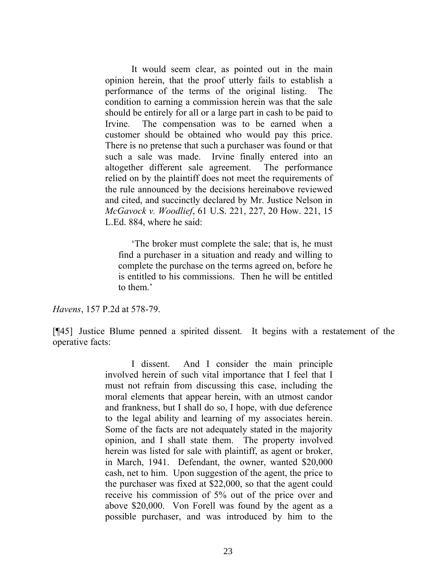It would seem clear, as pointed out in the main opinion herein, that the proof utterly fails to establish a performance of the terms of the original listing. The condition to earning a commission herein was that the sale should be entirely for all or a large part in cash to be paid to Irvine. The compensation was to be earned when a customer should be obtained who would pay this price. There is no pretense that such a purchaser was found or that such a sale was made. Irvine finally entered into an altogether different sale agreement. The performance relied on by the plaintiff does not meet the requirements of the rule announced by the decisions hereinabove reviewed and cited, and succinctly declared by Mr. Justice Nelson in *McGavock v. Woodlief*, 61 U.S. 221, 227, 20 How. 221, 15 L.Ed. 884, where he said:

'The broker must complete the sale; that is, he must find a purchaser in a situation and ready and willing to complete the purchase on the terms agreed on, before he is entitled to his commissions. Then he will be entitled to them.'

*Havens*, 157 P.2d at 578-79.

[¶45] Justice Blume penned a spirited dissent. It begins with a restatement of the operative facts:

> I dissent. And I consider the main principle involved herein of such vital importance that I feel that I must not refrain from discussing this case, including the moral elements that appear herein, with an utmost candor and frankness, but I shall do so, I hope, with due deference to the legal ability and learning of my associates herein. Some of the facts are not adequately stated in the majority opinion, and I shall state them. The property involved herein was listed for sale with plaintiff, as agent or broker, in March, 1941. Defendant, the owner, wanted \$20,000 cash, net to him. Upon suggestion of the agent, the price to the purchaser was fixed at \$22,000, so that the agent could receive his commission of 5% out of the price over and above \$20,000. Von Forell was found by the agent as a possible purchaser, and was introduced by him to the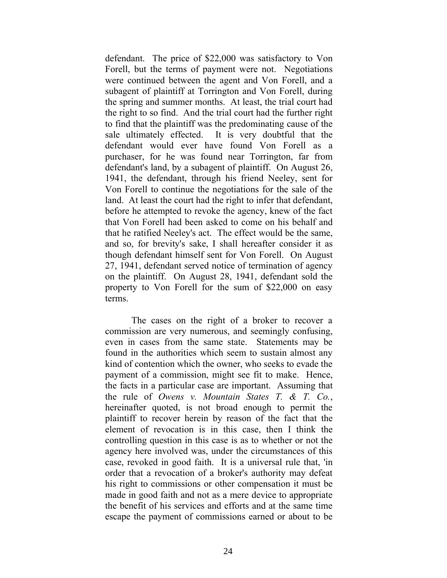defendant. The price of \$22,000 was satisfactory to Von Forell, but the terms of payment were not. Negotiations were continued between the agent and Von Forell, and a subagent of plaintiff at Torrington and Von Forell, during the spring and summer months. At least, the trial court had the right to so find. And the trial court had the further right to find that the plaintiff was the predominating cause of the sale ultimately effected. It is very doubtful that the defendant would ever have found Von Forell as a purchaser, for he was found near Torrington, far from defendant's land, by a subagent of plaintiff. On August 26, 1941, the defendant, through his friend Neeley, sent for Von Forell to continue the negotiations for the sale of the land. At least the court had the right to infer that defendant, before he attempted to revoke the agency, knew of the fact that Von Forell had been asked to come on his behalf and that he ratified Neeley's act. The effect would be the same, and so, for brevity's sake, I shall hereafter consider it as though defendant himself sent for Von Forell. On August 27, 1941, defendant served notice of termination of agency on the plaintiff. On August 28, 1941, defendant sold the property to Von Forell for the sum of \$22,000 on easy terms.

The cases on the right of a broker to recover a commission are very numerous, and seemingly confusing, even in cases from the same state. Statements may be found in the authorities which seem to sustain almost any kind of contention which the owner, who seeks to evade the payment of a commission, might see fit to make. Hence, the facts in a particular case are important. Assuming that the rule of *Owens v. Mountain States T. & T. Co.*, hereinafter quoted, is not broad enough to permit the plaintiff to recover herein by reason of the fact that the element of revocation is in this case, then I think the controlling question in this case is as to whether or not the agency here involved was, under the circumstances of this case, revoked in good faith. It is a universal rule that, 'in order that a revocation of a broker's authority may defeat his right to commissions or other compensation it must be made in good faith and not as a mere device to appropriate the benefit of his services and efforts and at the same time escape the payment of commissions earned or about to be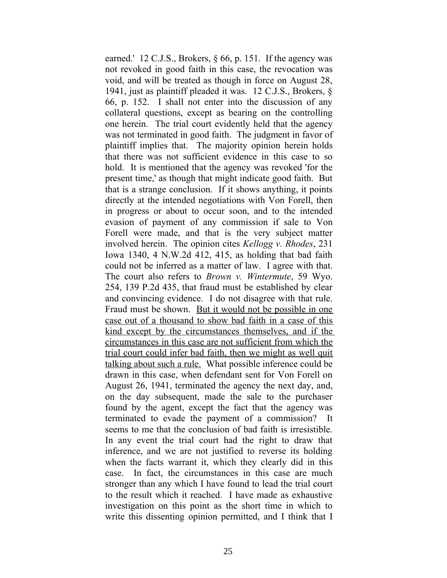earned.' 12 C.J.S., Brokers, § 66, p. 151. If the agency was not revoked in good faith in this case, the revocation was void, and will be treated as though in force on August 28, 1941, just as plaintiff pleaded it was. 12 C.J.S., Brokers, § 66, p. 152. I shall not enter into the discussion of any collateral questions, except as bearing on the controlling one herein. The trial court evidently held that the agency was not terminated in good faith. The judgment in favor of plaintiff implies that. The majority opinion herein holds that there was not sufficient evidence in this case to so hold. It is mentioned that the agency was revoked 'for the present time,' as though that might indicate good faith. But that is a strange conclusion. If it shows anything, it points directly at the intended negotiations with Von Forell, then in progress or about to occur soon, and to the intended evasion of payment of any commission if sale to Von Forell were made, and that is the very subject matter involved herein. The opinion cites *Kellogg v. Rhodes*, 231 Iowa 1340, 4 N.W.2d 412, 415, as holding that bad faith could not be inferred as a matter of law. I agree with that. The court also refers to *Brown v. Wintermute*, 59 Wyo. 254, 139 P.2d 435, that fraud must be established by clear and convincing evidence. I do not disagree with that rule. Fraud must be shown. But it would not be possible in one case out of a thousand to show bad faith in a case of this kind except by the circumstances themselves, and if the circumstances in this case are not sufficient from which the trial court could infer bad faith, then we might as well quit talking about such a rule. What possible inference could be drawn in this case, when defendant sent for Von Forell on August 26, 1941, terminated the agency the next day, and, on the day subsequent, made the sale to the purchaser found by the agent, except the fact that the agency was terminated to evade the payment of a commission? It seems to me that the conclusion of bad faith is irresistible. In any event the trial court had the right to draw that inference, and we are not justified to reverse its holding when the facts warrant it, which they clearly did in this case. In fact, the circumstances in this case are much stronger than any which I have found to lead the trial court to the result which it reached. I have made as exhaustive investigation on this point as the short time in which to write this dissenting opinion permitted, and I think that I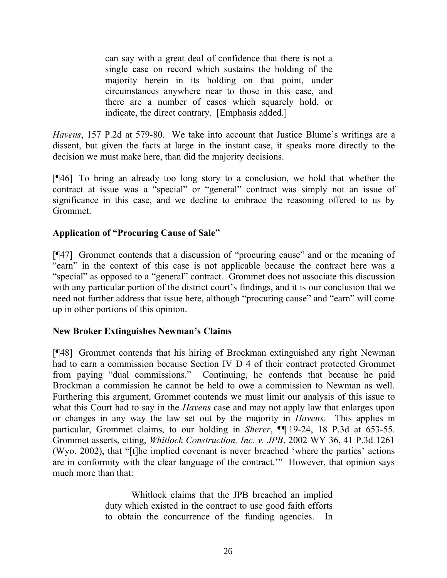can say with a great deal of confidence that there is not a single case on record which sustains the holding of the majority herein in its holding on that point, under circumstances anywhere near to those in this case, and there are a number of cases which squarely hold, or indicate, the direct contrary. [Emphasis added.]

*Havens*, 157 P.2d at 579-80. We take into account that Justice Blume's writings are a dissent, but given the facts at large in the instant case, it speaks more directly to the decision we must make here, than did the majority decisions.

[¶46] To bring an already too long story to a conclusion, we hold that whether the contract at issue was a "special" or "general" contract was simply not an issue of significance in this case, and we decline to embrace the reasoning offered to us by Grommet.

## **Application of "Procuring Cause of Sale"**

[¶47] Grommet contends that a discussion of "procuring cause" and or the meaning of "earn" in the context of this case is not applicable because the contract here was a "special" as opposed to a "general" contract. Grommet does not associate this discussion with any particular portion of the district court's findings, and it is our conclusion that we need not further address that issue here, although "procuring cause" and "earn" will come up in other portions of this opinion.

## **New Broker Extinguishes Newman's Claims**

[¶48] Grommet contends that his hiring of Brockman extinguished any right Newman had to earn a commission because Section IV D 4 of their contract protected Grommet from paying "dual commissions." Continuing, he contends that because he paid Brockman a commission he cannot be held to owe a commission to Newman as well. Furthering this argument, Grommet contends we must limit our analysis of this issue to what this Court had to say in the *Havens* case and may not apply law that enlarges upon or changes in any way the law set out by the majority in *Havens*. This applies in particular, Grommet claims, to our holding in *Sherer*, ¶¶ 19-24, 18 P.3d at 653-55. Grommet asserts, citing, *Whitlock Construction, Inc. v. JPB*, 2002 WY 36, 41 P.3d 1261 (Wyo. 2002), that "[t]he implied covenant is never breached 'where the parties' actions are in conformity with the clear language of the contract.'" However, that opinion says much more than that:

> Whitlock claims that the JPB breached an implied duty which existed in the contract to use good faith efforts to obtain the concurrence of the funding agencies. In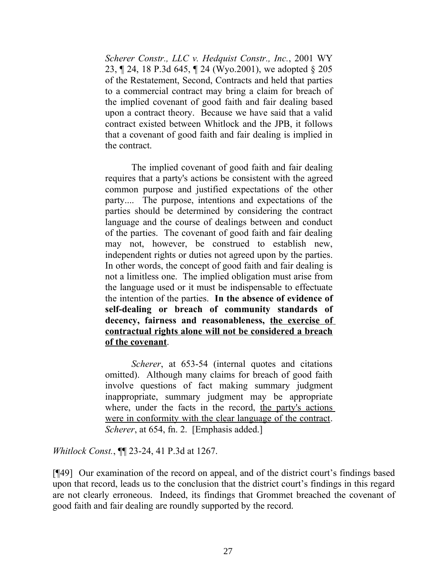*Scherer Constr., LLC v. Hedquist Constr., Inc.*, 2001 WY 23, ¶ 24, 18 P.3d 645, ¶ 24 (Wyo.2001), we adopted § 205 of the Restatement, Second, Contracts and held that parties to a commercial contract may bring a claim for breach of the implied covenant of good faith and fair dealing based upon a contract theory. Because we have said that a valid contract existed between Whitlock and the JPB, it follows that a covenant of good faith and fair dealing is implied in the contract.

The implied covenant of good faith and fair dealing requires that a party's actions be consistent with the agreed common purpose and justified expectations of the other party.... The purpose, intentions and expectations of the parties should be determined by considering the contract language and the course of dealings between and conduct of the parties. The covenant of good faith and fair dealing may not, however, be construed to establish new, independent rights or duties not agreed upon by the parties. In other words, the concept of good faith and fair dealing is not a limitless one. The implied obligation must arise from the language used or it must be indispensable to effectuate the intention of the parties. **In the absence of evidence of self-dealing or breach of community standards of decency, fairness and reasonableness, the exercise of contractual rights alone will not be considered a breach of the covenant**.

*Scherer*, at 653-54 (internal quotes and citations omitted). Although many claims for breach of good faith involve questions of fact making summary judgment inappropriate, summary judgment may be appropriate where, under the facts in the record, the party's actions were in conformity with the clear language of the contract. *Scherer*, at 654, fn. 2. [Emphasis added.]

*Whitlock Const.*, ¶¶ 23-24, 41 P.3d at 1267.

[¶49] Our examination of the record on appeal, and of the district court's findings based upon that record, leads us to the conclusion that the district court's findings in this regard are not clearly erroneous. Indeed, its findings that Grommet breached the covenant of good faith and fair dealing are roundly supported by the record.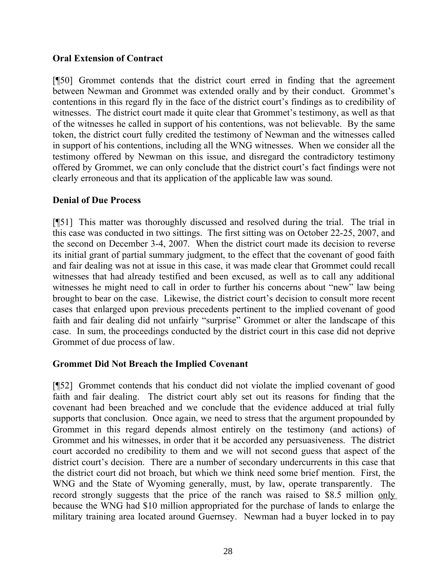## **Oral Extension of Contract**

[¶50] Grommet contends that the district court erred in finding that the agreement between Newman and Grommet was extended orally and by their conduct. Grommet's contentions in this regard fly in the face of the district court's findings as to credibility of witnesses. The district court made it quite clear that Grommet's testimony, as well as that of the witnesses he called in support of his contentions, was not believable. By the same token, the district court fully credited the testimony of Newman and the witnesses called in support of his contentions, including all the WNG witnesses. When we consider all the testimony offered by Newman on this issue, and disregard the contradictory testimony offered by Grommet, we can only conclude that the district court's fact findings were not clearly erroneous and that its application of the applicable law was sound.

## **Denial of Due Process**

[¶51] This matter was thoroughly discussed and resolved during the trial. The trial in this case was conducted in two sittings. The first sitting was on October 22-25, 2007, and the second on December 3-4, 2007. When the district court made its decision to reverse its initial grant of partial summary judgment, to the effect that the covenant of good faith and fair dealing was not at issue in this case, it was made clear that Grommet could recall witnesses that had already testified and been excused, as well as to call any additional witnesses he might need to call in order to further his concerns about "new" law being brought to bear on the case. Likewise, the district court's decision to consult more recent cases that enlarged upon previous precedents pertinent to the implied covenant of good faith and fair dealing did not unfairly "surprise" Grommet or alter the landscape of this case. In sum, the proceedings conducted by the district court in this case did not deprive Grommet of due process of law.

## **Grommet Did Not Breach the Implied Covenant**

[¶52] Grommet contends that his conduct did not violate the implied covenant of good faith and fair dealing. The district court ably set out its reasons for finding that the covenant had been breached and we conclude that the evidence adduced at trial fully supports that conclusion. Once again, we need to stress that the argument propounded by Grommet in this regard depends almost entirely on the testimony (and actions) of Grommet and his witnesses, in order that it be accorded any persuasiveness. The district court accorded no credibility to them and we will not second guess that aspect of the district court's decision. There are a number of secondary undercurrents in this case that the district court did not broach, but which we think need some brief mention. First, the WNG and the State of Wyoming generally, must, by law, operate transparently. The record strongly suggests that the price of the ranch was raised to \$8.5 million only because the WNG had \$10 million appropriated for the purchase of lands to enlarge the military training area located around Guernsey. Newman had a buyer locked in to pay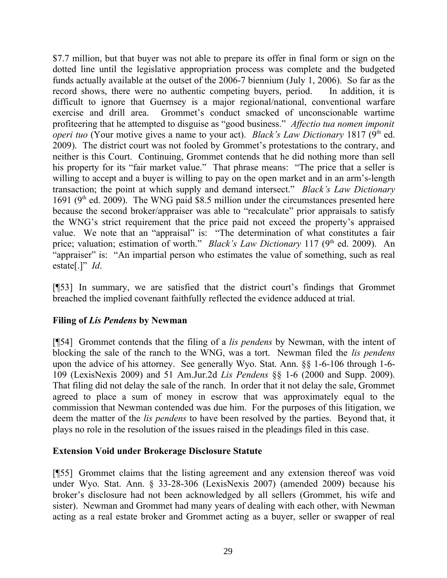\$7.7 million, but that buyer was not able to prepare its offer in final form or sign on the dotted line until the legislative appropriation process was complete and the budgeted funds actually available at the outset of the 2006-7 biennium (July 1, 2006). So far as the record shows, there were no authentic competing buyers, period. In addition, it is difficult to ignore that Guernsey is a major regional/national, conventional warfare exercise and drill area. Grommet's conduct smacked of unconscionable wartime profiteering that he attempted to disguise as "good business." *Affectio tua nomen imponit operi tuo* (Your motive gives a name to your act). *Black's Law Dictionary* 1817 (9<sup>th</sup> ed. 2009). The district court was not fooled by Grommet's protestations to the contrary, and neither is this Court. Continuing, Grommet contends that he did nothing more than sell his property for its "fair market value." That phrase means: "The price that a seller is willing to accept and a buyer is willing to pay on the open market and in an arm's-length transaction; the point at which supply and demand intersect." *Black's Law Dictionary* 1691 ( $9<sup>th</sup>$  ed. 2009). The WNG paid \$8.5 million under the circumstances presented here because the second broker/appraiser was able to "recalculate" prior appraisals to satisfy the WNG's strict requirement that the price paid not exceed the property's appraised value. We note that an "appraisal" is: "The determination of what constitutes a fair price; valuation; estimation of worth." *Black's Law Dictionary* 117 (9<sup>th</sup> ed. 2009). An "appraiser" is: "An impartial person who estimates the value of something, such as real estate[.]" *Id*.

[¶53] In summary, we are satisfied that the district court's findings that Grommet breached the implied covenant faithfully reflected the evidence adduced at trial.

## **Filing of** *Lis Pendens* **by Newman**

[¶54] Grommet contends that the filing of a *lis pendens* by Newman, with the intent of blocking the sale of the ranch to the WNG, was a tort. Newman filed the *lis pendens* upon the advice of his attorney. See generally Wyo. Stat. Ann. §§ 1-6-106 through 1-6- 109 (LexisNexis 2009) and 51 Am.Jur.2d *Lis Pendens* §§ 1-6 (2000 and Supp. 2009). That filing did not delay the sale of the ranch. In order that it not delay the sale, Grommet agreed to place a sum of money in escrow that was approximately equal to the commission that Newman contended was due him. For the purposes of this litigation, we deem the matter of the *lis pendens* to have been resolved by the parties. Beyond that, it plays no role in the resolution of the issues raised in the pleadings filed in this case.

## **Extension Void under Brokerage Disclosure Statute**

[¶55] Grommet claims that the listing agreement and any extension thereof was void under Wyo. Stat. Ann. § 33-28-306 (LexisNexis 2007) (amended 2009) because his broker's disclosure had not been acknowledged by all sellers (Grommet, his wife and sister). Newman and Grommet had many years of dealing with each other, with Newman acting as a real estate broker and Grommet acting as a buyer, seller or swapper of real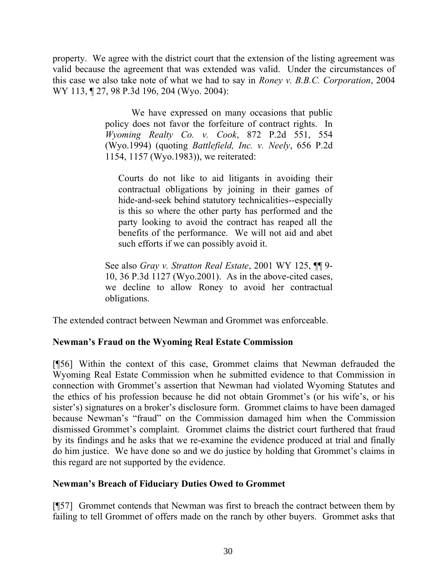property. We agree with the district court that the extension of the listing agreement was valid because the agreement that was extended was valid. Under the circumstances of this case we also take note of what we had to say in *Roney v. B.B.C. Corporation*, 2004 WY 113, 127, 98 P.3d 196, 204 (Wyo. 2004):

> We have expressed on many occasions that public policy does not favor the forfeiture of contract rights. In *Wyoming Realty Co. v. Cook*, 872 P.2d 551, 554 (Wyo.1994) (quoting *Battlefield, Inc. v. Neely*, 656 P.2d 1154, 1157 (Wyo.1983)), we reiterated:

Courts do not like to aid litigants in avoiding their contractual obligations by joining in their games of hide-and-seek behind statutory technicalities--especially is this so where the other party has performed and the party looking to avoid the contract has reaped all the benefits of the performance. We will not aid and abet such efforts if we can possibly avoid it.

See also *Gray v. Stratton Real Estate*, 2001 WY 125, ¶¶ 9- 10, 36 P.3d 1127 (Wyo.2001). As in the above-cited cases, we decline to allow Roney to avoid her contractual obligations.

The extended contract between Newman and Grommet was enforceable.

# **Newman's Fraud on the Wyoming Real Estate Commission**

[¶56] Within the context of this case, Grommet claims that Newman defrauded the Wyoming Real Estate Commission when he submitted evidence to that Commission in connection with Grommet's assertion that Newman had violated Wyoming Statutes and the ethics of his profession because he did not obtain Grommet's (or his wife's, or his sister's) signatures on a broker's disclosure form. Grommet claims to have been damaged because Newman's "fraud" on the Commission damaged him when the Commission dismissed Grommet's complaint. Grommet claims the district court furthered that fraud by its findings and he asks that we re-examine the evidence produced at trial and finally do him justice. We have done so and we do justice by holding that Grommet's claims in this regard are not supported by the evidence.

#### **Newman's Breach of Fiduciary Duties Owed to Grommet**

[¶57] Grommet contends that Newman was first to breach the contract between them by failing to tell Grommet of offers made on the ranch by other buyers. Grommet asks that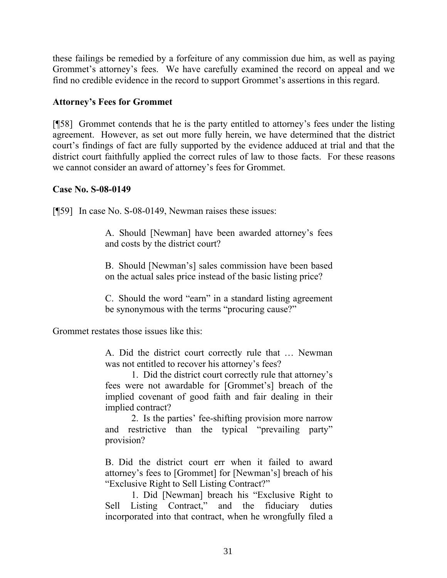these failings be remedied by a forfeiture of any commission due him, as well as paying Grommet's attorney's fees. We have carefully examined the record on appeal and we find no credible evidence in the record to support Grommet's assertions in this regard.

## **Attorney's Fees for Grommet**

[¶58] Grommet contends that he is the party entitled to attorney's fees under the listing agreement. However, as set out more fully herein, we have determined that the district court's findings of fact are fully supported by the evidence adduced at trial and that the district court faithfully applied the correct rules of law to those facts. For these reasons we cannot consider an award of attorney's fees for Grommet.

#### **Case No. S-08-0149**

[¶59] In case No. S-08-0149, Newman raises these issues:

A. Should [Newman] have been awarded attorney's fees and costs by the district court?

B. Should [Newman's] sales commission have been based on the actual sales price instead of the basic listing price?

C. Should the word "earn" in a standard listing agreement be synonymous with the terms "procuring cause?"

Grommet restates those issues like this:

A. Did the district court correctly rule that … Newman was not entitled to recover his attorney's fees?

1. Did the district court correctly rule that attorney's fees were not awardable for [Grommet's] breach of the implied covenant of good faith and fair dealing in their implied contract?

2. Is the parties' fee-shifting provision more narrow and restrictive than the typical "prevailing party" provision?

B. Did the district court err when it failed to award attorney's fees to [Grommet] for [Newman's] breach of his "Exclusive Right to Sell Listing Contract?"

1. Did [Newman] breach his "Exclusive Right to Sell Listing Contract," and the fiduciary duties incorporated into that contract, when he wrongfully filed a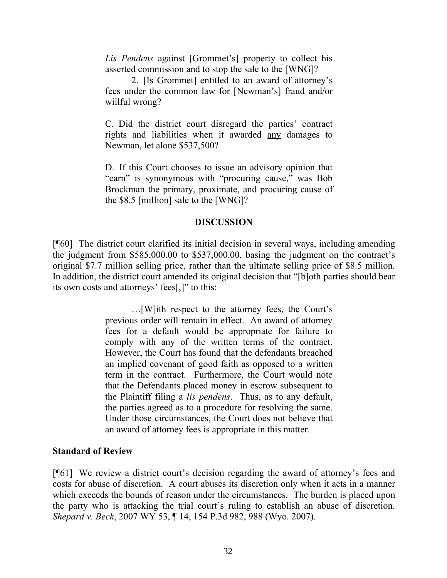*Lis Pendens* against [Grommet's] property to collect his asserted commission and to stop the sale to the [WNG]?

2. [Is Grommet] entitled to an award of attorney's fees under the common law for [Newman's] fraud and/or willful wrong?

C. Did the district court disregard the parties' contract rights and liabilities when it awarded any damages to Newman, let alone \$537,500?

D. If this Court chooses to issue an advisory opinion that "earn" is synonymous with "procuring cause," was Bob Brockman the primary, proximate, and procuring cause of the \$8.5 [million] sale to the [WNG]?

#### **DISCUSSION**

[¶60] The district court clarified its initial decision in several ways, including amending the judgment from \$585,000.00 to \$537,000.00, basing the judgment on the contract's original \$7.7 million selling price, rather than the ultimate selling price of \$8.5 million. In addition, the district court amended its original decision that "[b]oth parties should bear its own costs and attorneys' fees[,]" to this:

> …[W]ith respect to the attorney fees, the Court's previous order will remain in effect. An award of attorney fees for a default would be appropriate for failure to comply with any of the written terms of the contract. However, the Court has found that the defendants breached an implied covenant of good faith as opposed to a written term in the contract. Furthermore, the Court would note that the Defendants placed money in escrow subsequent to the Plaintiff filing a *lis pendens*. Thus, as to any default, the parties agreed as to a procedure for resolving the same. Under those circumstances, the Court does not believe that an award of attorney fees is appropriate in this matter.

#### **Standard of Review**

[¶61] We review a district court's decision regarding the award of attorney's fees and costs for abuse of discretion. A court abuses its discretion only when it acts in a manner which exceeds the bounds of reason under the circumstances. The burden is placed upon the party who is attacking the trial court's ruling to establish an abuse of discretion. *Shepard v. Beck*, 2007 WY 53, ¶ 14, 154 P.3d 982, 988 (Wyo. 2007).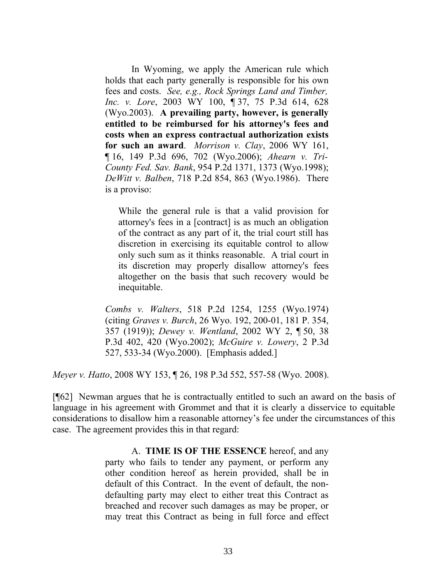In Wyoming, we apply the American rule which holds that each party generally is responsible for his own fees and costs. *See, e.g., Rock Springs Land and Timber, Inc. v. Lore*, 2003 WY 100, ¶ 37, 75 P.3d 614, 628 (Wyo.2003). **A prevailing party, however, is generally entitled to be reimbursed for his attorney's fees and costs when an express contractual authorization exists for such an award**. *Morrison v. Clay*, 2006 WY 161, ¶ 16, 149 P.3d 696, 702 (Wyo.2006); *Ahearn v. Tri-County Fed. Sav. Bank*, 954 P.2d 1371, 1373 (Wyo.1998); *DeWitt v. Balben*, 718 P.2d 854, 863 (Wyo.1986). There is a proviso:

While the general rule is that a valid provision for attorney's fees in a [contract] is as much an obligation of the contract as any part of it, the trial court still has discretion in exercising its equitable control to allow only such sum as it thinks reasonable. A trial court in its discretion may properly disallow attorney's fees altogether on the basis that such recovery would be inequitable.

*Combs v. Walters*, 518 P.2d 1254, 1255 (Wyo.1974) (citing *Graves v. Burch*, 26 Wyo. 192, 200-01, 181 P. 354, 357 (1919)); *Dewey v. Wentland*, 2002 WY 2, ¶ 50, 38 P.3d 402, 420 (Wyo.2002); *McGuire v. Lowery*, 2 P.3d 527, 533-34 (Wyo.2000). [Emphasis added.]

*Meyer v. Hatto*, 2008 WY 153, ¶ 26, 198 P.3d 552, 557-58 (Wyo. 2008).

[¶62] Newman argues that he is contractually entitled to such an award on the basis of language in his agreement with Grommet and that it is clearly a disservice to equitable considerations to disallow him a reasonable attorney's fee under the circumstances of this case. The agreement provides this in that regard:

> A. **TIME IS OF THE ESSENCE** hereof, and any party who fails to tender any payment, or perform any other condition hereof as herein provided, shall be in default of this Contract. In the event of default, the nondefaulting party may elect to either treat this Contract as breached and recover such damages as may be proper, or may treat this Contract as being in full force and effect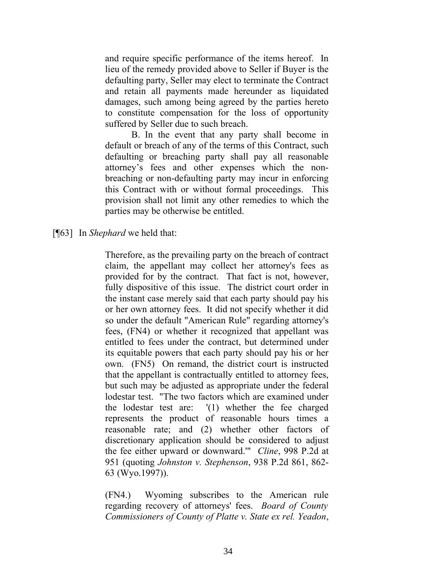and require specific performance of the items hereof. In lieu of the remedy provided above to Seller if Buyer is the defaulting party, Seller may elect to terminate the Contract and retain all payments made hereunder as liquidated damages, such among being agreed by the parties hereto to constitute compensation for the loss of opportunity suffered by Seller due to such breach.

B. In the event that any party shall become in default or breach of any of the terms of this Contract, such defaulting or breaching party shall pay all reasonable attorney's fees and other expenses which the nonbreaching or non-defaulting party may incur in enforcing this Contract with or without formal proceedings. This provision shall not limit any other remedies to which the parties may be otherwise be entitled.

[¶63] In *Shephard* we held that:

Therefore, as the prevailing party on the breach of contract claim, the appellant may collect her attorney's fees as provided for by the contract. That fact is not, however, fully dispositive of this issue. The district court order in the instant case merely said that each party should pay his or her own attorney fees. It did not specify whether it did so under the default "American Rule" regarding attorney's fees, (FN4) or whether it recognized that appellant was entitled to fees under the contract, but determined under its equitable powers that each party should pay his or her own. (FN5) On remand, the district court is instructed that the appellant is contractually entitled to attorney fees, but such may be adjusted as appropriate under the federal lodestar test. "The two factors which are examined under the lodestar test are: '(1) whether the fee charged represents the product of reasonable hours times a reasonable rate; and (2) whether other factors of discretionary application should be considered to adjust the fee either upward or downward.'" *Cline*, 998 P.2d at 951 (quoting *Johnston v. Stephenson*, 938 P.2d 861, 862- 63 (Wyo.1997)).

(FN4.) Wyoming subscribes to the American rule regarding recovery of attorneys' fees. *Board of County Commissioners of County of Platte v. State ex rel. Yeadon*,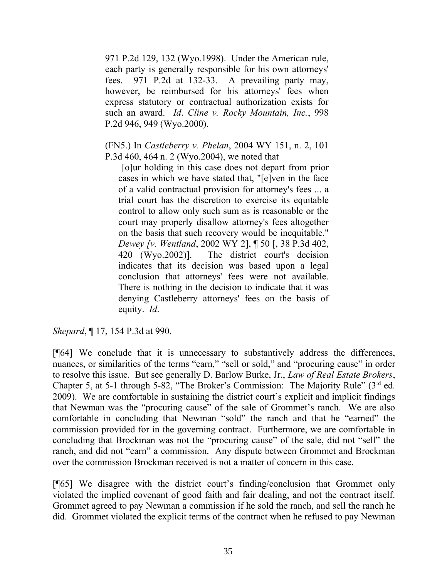971 P.2d 129, 132 (Wyo.1998). Under the American rule, each party is generally responsible for his own attorneys' fees. 971 P.2d at 132-33. A prevailing party may, however, be reimbursed for his attorneys' fees when express statutory or contractual authorization exists for such an award. *Id*. *Cline v. Rocky Mountain, Inc.*, 998 P.2d 946, 949 (Wyo.2000).

(FN5.) In *Castleberry v. Phelan*, 2004 WY 151, n. 2, 101 P.3d 460, 464 n. 2 (Wyo.2004), we noted that

 [o]ur holding in this case does not depart from prior cases in which we have stated that, "[e]ven in the face of a valid contractual provision for attorney's fees ... a trial court has the discretion to exercise its equitable control to allow only such sum as is reasonable or the court may properly disallow attorney's fees altogether on the basis that such recovery would be inequitable." *Dewey [v. Wentland*, 2002 WY 2], ¶ 50 [, 38 P.3d 402, 420 (Wyo.2002)]. The district court's decision indicates that its decision was based upon a legal conclusion that attorneys' fees were not available. There is nothing in the decision to indicate that it was denying Castleberry attorneys' fees on the basis of equity. *Id*.

*Shepard*, **[17, 154 P.3d at 990.** 

[¶64] We conclude that it is unnecessary to substantively address the differences, nuances, or similarities of the terms "earn," "sell or sold," and "procuring cause" in order to resolve this issue. But see generally D. Barlow Burke, Jr., *Law of Real Estate Brokers*, Chapter 5, at 5-1 through 5-82, "The Broker's Commission: The Majority Rule" (3rd ed. 2009). We are comfortable in sustaining the district court's explicit and implicit findings that Newman was the "procuring cause" of the sale of Grommet's ranch. We are also comfortable in concluding that Newman "sold" the ranch and that he "earned" the commission provided for in the governing contract. Furthermore, we are comfortable in concluding that Brockman was not the "procuring cause" of the sale, did not "sell" the ranch, and did not "earn" a commission. Any dispute between Grommet and Brockman over the commission Brockman received is not a matter of concern in this case.

[¶65] We disagree with the district court's finding/conclusion that Grommet only violated the implied covenant of good faith and fair dealing, and not the contract itself. Grommet agreed to pay Newman a commission if he sold the ranch, and sell the ranch he did. Grommet violated the explicit terms of the contract when he refused to pay Newman